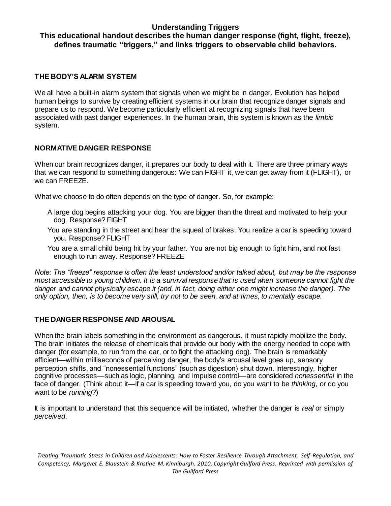## **Understanding Triggers**

# **This educational handout describes the human danger response (fight, flight, freeze), defines traumatic "triggers," and links triggers to observable child behaviors.**

### **THE BODY'S ALARM SYSTEM**

We all have a built-in alarm system that signals when we might be in danger. Evolution has helped human beings to survive by creating efficient systems in our brain that recognize danger signals and prepare us to respond. We become particularly efficient at recognizing signals that have been associated with past danger experiences. In the human brain, this system is known as the *limbic* system.

#### **NORMATIVE DANGER RESPONSE**

When our brain recognizes danger, it prepares our body to deal with it. There are three primary ways that we can respond to something dangerous: We can FIGHT it, we can get away from it (FLIGHT), or we can FREEZE.

What we choose to do often depends on the type of danger. So, for example:

- A large dog begins attacking your dog. You are bigger than the threat and motivated to help your dog. Response? FIGHT
- You are standing in the street and hear the squeal of brakes. You realize a car is speeding toward you. Response? FLIGHT
- You are a small child being hit by your father. You are not big enough to fight him, and not fast enough to run away. Response? FREEZE

*Note: The "freeze" response is often the least understood and/or talked about, but may be the response most accessible to young children. It is a survival response that is used when someone cannot fight the danger and cannot physically escape it (and, in fact, doing either one might increase the danger). The only option, then, is to become very still, try not to be seen, and at times, to mentally escape.*

# **THE DANGER RESPONSE AND AROUSAL**

When the brain labels something in the environment as dangerous, it must rapidly mobilize the body. The brain initiates the release of chemicals that provide our body with the energy needed to cope with danger (for example, to run from the car, or to fight the attacking dog). The brain is remarkably efficient—within milliseconds of perceiving danger, the body's arousal level goes up, sensory perception shifts, and "nonessential functions" (such as digestion) shut down. Interestingly, higher cognitive processes—such as logic, planning, and impulse control—are considered *nonessential* in the face of danger. (Think about it—if a car is speeding toward you, do you want to be *thinking*, or do you want to be *running*?)

It is important to understand that this sequence will be initiated, whether the danger is *real* or simply *perceived*.

*Treating Traumatic Stress in Children and Adolescents: How to Foster Resilience Through Attachment, Self-Regulation, and Competency, Margaret E. Blaustein & Kristine M. Kinniburgh. 2010. Copyright Guilford Press. Reprinted with permission of The Guilford Press*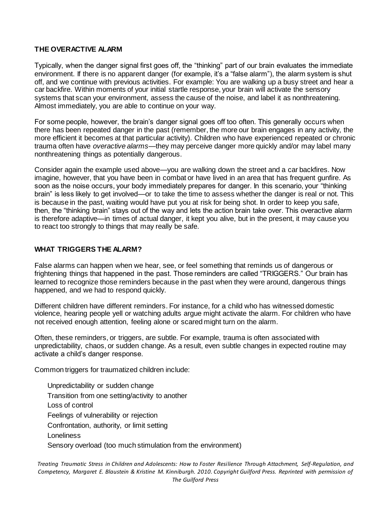### **THE OVERACTIVE ALARM**

Typically, when the danger signal first goes off, the "thinking" part of our brain evaluates the immediate environment. If there is no apparent danger (for example, it's a "false alarm"), the alarm system is shut off, and we continue with previous activities. For example: You are walking up a busy street and hear a car backfire. Within moments of your initial startle response, your brain will activate the sensory systems that scan your environment, assess the cause of the noise, and label it as nonthreatening. Almost immediately, you are able to continue on your way.

For some people, however, the brain's danger signal goes off too often. This generally occurs when there has been repeated danger in the past (remember, the more our brain engages in any activity, the more efficient it becomes at that particular activity). Children who have experienced repeated or chronic trauma often have *overactive alarms*—they may perceive danger more quickly and/or may label many nonthreatening things as potentially dangerous.

Consider again the example used above—you are walking down the street and a car backfires. Now imagine, however, that you have been in combat or have lived in an area that has frequent gunfire. As soon as the noise occurs, your body immediately prepares for danger. In this scenario, your "thinking brain" is less likely to get involved—or to take the time to assess whether the danger is real or not. This is because in the past, waiting would have put you at risk for being shot. In order to keep you safe, then, the "thinking brain" stays out of the way and lets the action brain take over. This overactive alarm is therefore adaptive—in times of actual danger, it kept you alive, but in the present, it may cause you to react too strongly to things that may really be safe.

#### **WHAT TRIGGERS THE ALARM?**

False alarms can happen when we hear, see, or feel something that reminds us of dangerous or frightening things that happened in the past. Those reminders are called "TRIGGERS." Our brain has learned to recognize those reminders because in the past when they were around, dangerous things happened, and we had to respond quickly.

Different children have different reminders. For instance, for a child who has witnessed domestic violence, hearing people yell or watching adults argue might activate the alarm. For children who have not received enough attention, feeling alone or scared might turn on the alarm.

Often, these reminders, or triggers, are subtle. For example, trauma is often associated with unpredictability, chaos, or sudden change. As a result, even subtle changes in expected routine may activate a child's danger response.

Common triggers for traumatized children include:

Unpredictability or sudden change Transition from one setting/activity to another Loss of control Feelings of vulnerability or rejection Confrontation, authority, or limit setting **Loneliness** Sensory overload (too much stimulation from the environment)

*Treating Traumatic Stress in Children and Adolescents: How to Foster Resilience Through Attachment, Self-Regulation, and Competency, Margaret E. Blaustein & Kristine M. Kinniburgh. 2010. Copyright Guilford Press. Reprinted with permission of The Guilford Press*